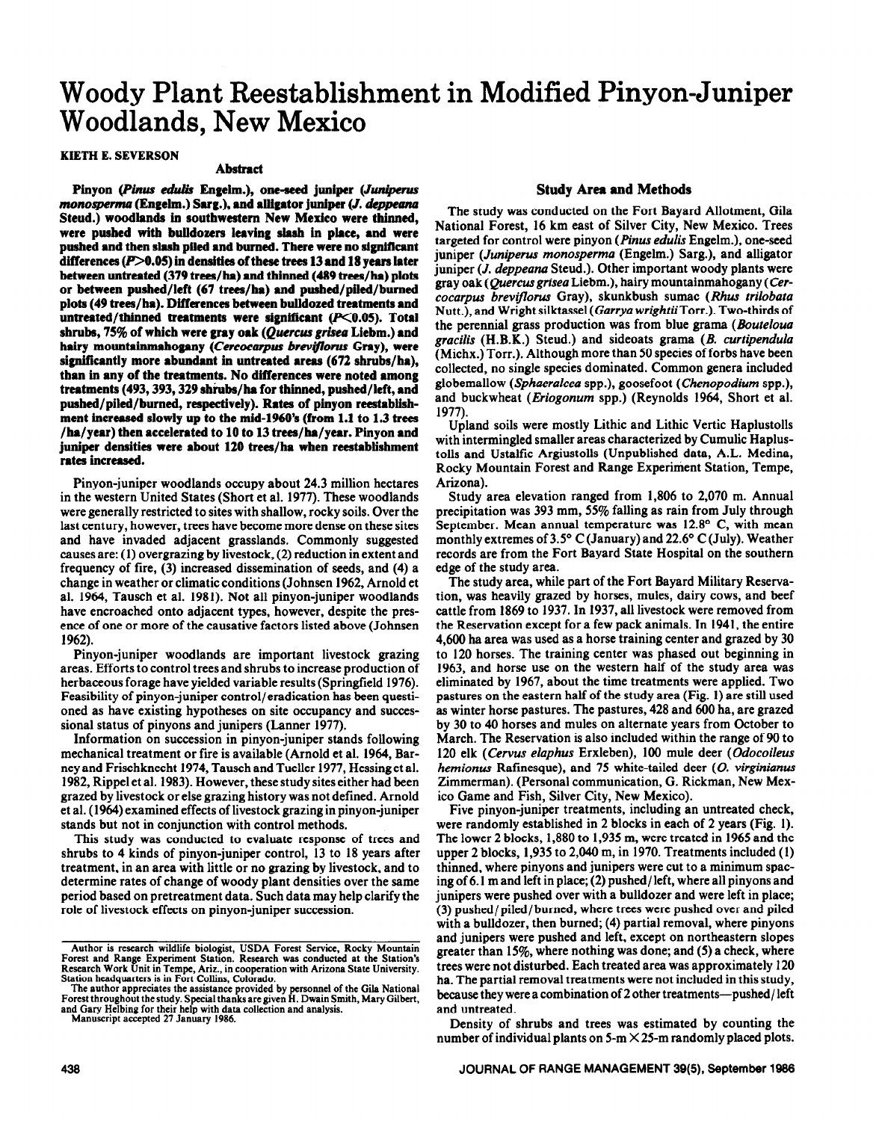# **Woody Plant Reestablishment in Modified Pinyon-Juniper Woodlands, New Mexico**

# **KIETH E. SEVERSON**

#### **Abstract**

Pinyon (Pinus edulis Engelm.), one-seed juniper (Juniperus *monosperma* (Engelm.) Sarg.), and alligator juniper (*J. deppeana* **Steud.) woodlands in southwestern New Mexico were thinned, were pushed with bulldozers leaving slash in place, and were pushed and then slash piled and burned. There were no significant**  differences ( $P > 0.05$ ) in densities of these trees 13 and 18 years later **between untreated (379 trees/ha) and thinned (489 trees/ha) plots or between pushed/left (67 trees/ha) and pushed/piled/burned plots (49 trees/ha). Differences between bulldozed treatments and**  untreated/thinned treatments were significant (P<0.05). Total shrubs, 75% of which were gray oak (Quercus grisea Liebm.) and hairy mountainmahogany (Cercocarpus breviflorus Gray), were **significantly more abundant in untreated areas (672 shrubs/ha), than in any of the treatments. No differences were noted among treatments (493,393,329 shiubs/ha for thinned, pushed/left, and pushed/piled/burned, respectively). Rates of pinyon reestablishment increased slowly up to the mid-1960's (from 1.1 to 1.3 trees /ha/year) then accelerated to 10 to 13 trees/ha/year. Pinyon and juniper densities were about 120 trees/ha when reestablishment rates increased.** 

Pinyon-juniper woodlands occupy about 24.3 million hectares in the western United States (Short et al. 1977). These woodlands were generally restricted to sites with shallow, rocky soils. Over the last century, however, trees have become more dense on these sites and have invaded adjacent grasslands. Commonly suggested causes are: (1) overgrazing by livestock, (2) reduction in extent and frequency of fire, (3) increased dissemination of seeds, and (4) a change in weather or climatic conditions (Johnsen 1962, Arnold et al, 1964, Tausch et al. 1981). Not all pinyon-juniper woodlands have encroached onto adjacent types, however, despite the presence of one or more of the causative factors listed above (Johnsen 1962).

Pinyon-juniper woodlands are important livestock grazing areas. Efforts to control trees and shrubs to increase production of herbaceous forage have yielded variable results (Springfield 1976). Feasibility of pinyon-juniper control/eradication has been questioned as have existing hypotheses on site occupancy and successional status of pinyons and junipers (Lanner 1977).

Information on succession in pinyon-juniper stands following mechanical treatment or fiie is available (Arnold et al. 1964, Barney and Frischknecht 1974, Tausch and Tueller 1977, Hessinget al. 1982, Rippel et al. 1983). However, these study sites either had been grazed by livestock or else grazing history was not defined. Arnold et al. (1964) examined effects of livestock grazing in pinyon-juniper stands but not in conjunction with control methods.

This study was conducted to evaluate response of trees and shrubs to 4 kinds of pinyon-juniper control, 13 to 18 years after treatment, in an area with little or no grazing by livestock, and to determine rates of change of woody plant densities over the same period based on pretreatment data. Such data may help clarify the role of livestock effects on pinyon-juniper succession.

# **Study Area and Methods**

The study was conducted on the Fort Bayard Allotment, Gila National Forest, 16 km east of Silver City, New Mexico. Trees targeted for control were pinyon (pinus *edulis* Engelm.), one-seed juniper *(Juniperus monosperma* (Engelm.) Sarg.), and alligator juniper *(J. deppeana* Steud.). Other important woody plants were gray oak (Quercus *grisea* Liebm.), hairy mountainmahogany *(Cercocarpus brevtjlorus* Gray), skunkbush sumac (Rhus *trilobata*  Nutt.), and Wright silktassel *(Garrya* wrightiiTorr.). Two-thirds of the perennial grass production was from blue grama *(Bouteloua gracilis* (H.B.K.) Steud.) and sideoats grama (B. *curtipendula*  (Michx.) Torr.). Although more than 50 species of forbs have been collected, no single species dominated. Common genera included globemallow *(Sphaeralcea* **spp.),** goosefoot *(Chenopodium* spp.), and buckwheat *(Eriogonum* spp.) (Reynolds 1964, Short et al. 1977).

Upland soils were mostly Lithic and Lithic Vertic Hapiustolls with intermingled smaller areas characterized by Cumulic Haplustolls and Ustalfic Argiustolls (Unpublished data, A.L. Medina, Rocky Mountain Forest and Range Experiment Station, Tempe, Arizona).

Study area elevation ranged from 1,806 to 2,070 m. Annual precipitation was 393 mm, 55% falling as rain from July through September. Mean annual temperature was  $12.8^{\circ}$  C, with mean monthly extremes of  $3.5^{\circ}$  C (January) and  $22.6^{\circ}$  C (July). Weather records are from the Fort Bayard State Hospital on the southern edge of the study area.

The study area, while part of the Fort Bayard Military Reservation, was heavily grazed by horses, mules, dairy cows, and beef cattle from 1869 to 1937. In 1937, all livestock were removed from the Reservation except for a few pack animals. In 1941, the entire 4,600 ha area was used as a horse training center and grazed by 30 to 120 horses. The training center was phased out beginning in 1963, and horse use on the western half of the study area was eliminated by 1967, about the time treatments were applied. Two pastures on the eastern half of the study area (Fig. 1) are still used as winter horse pastures. The pastures, 428 and 600 ha, are grazed by 30 to 40 horses and mules on alternate years from October to March. The Reservation is also included within the range of 90 to 120 elk *(Cervus elaphus* Erxleben), 100 mule deer *(Odocoileus hemionus* Ratinesque), and 75 white-tailed deer (0. *virginianus*  Zimmerman). (Personal communication, G. Rickman, New Mexico Game and Fish, Silver City, New Mexico).

Five pinyon-juniper treatments, including an untreated check, were randomly established in 2 blocks in each of 2 years (Fig. 1). The lower 2 blocks, 1,880 to 1,935 m, were treated in 1965 and the upper 2 blocks, 1,935 to 2,040 m, in 1970. Treatments included (1) thinned, where pinyons and junipers were cut to a minimum spacing of 6.1 m and left in place; (2) pushed/ left, where all pinyons and junipers were pushed over with a bulldozer and were left in place; (3) pushed/ piled/ burned, where trees were pushed over and piled with a bulldozer, then burned; (4) partial removal, where pinyons and junipers were pushed and left, except on northeastern slopes greater than IS%, where nothing was done; and (5) a check, where trees were not disturbed. Each treated area was approximately 120 ha. The partial removal treatments were not included in this study, because they were a combination of 2 other treatments-pushed/left and untreated.

Density of shrubs and trees was estimated by counting the number of individual plants on 5-m  $\times$  25-m randomly placed plots.

**Author is research wildlife biologist, USDA Forest Service, Rocky Mountain Forest and Range Experiment Station. Research was conducted at the Station's**  Research Work Unit in Tempe, Ariz., in cooperation with Arizona State University.<br>Station headquarters is in Fort Collins, Colorado.

**The author appreciates the assistance provided by personnel of the Gila National Forest throughout the study. Special thanksare given H. Dwain Smith, Mary Gilbert, and Gary Helbing for their help with data collection and analysis. Manuscript accepted 27 January 1986.**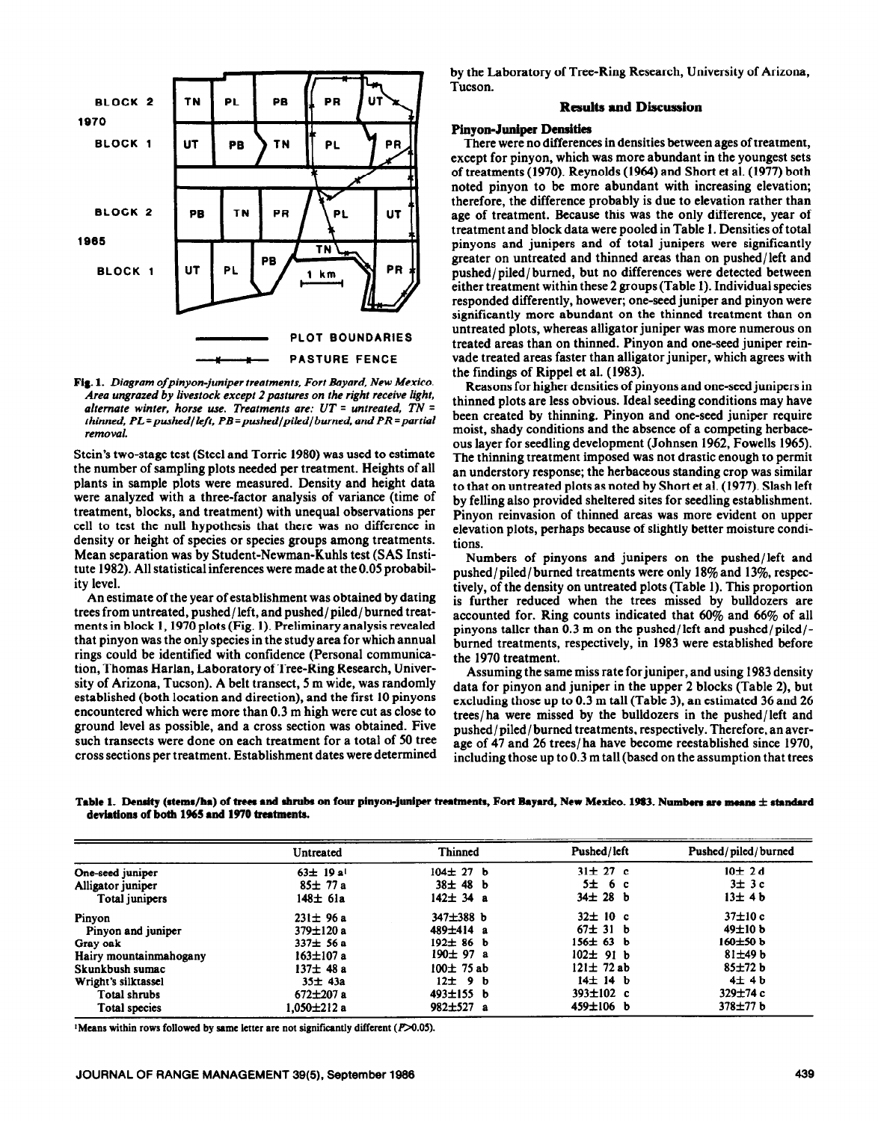

**Fig. 1.** *Diagram ofpinyon-juniper treatments, Fort Bayard, New Mexico. Area ungrazed by livestock except 2pastures on the right receive light,*  alternate winter, horse use. Treatments are: UT = untreated, TN = *thinned, PL=pushed/lcfr, PB=pushed/piled/burned, and PR =partial removal.* 

**Stein's two-stage test (Steel and Torrie 1980) was used to estimate the number of sampling plots needed per treatment. Heights of all plants in sample plots were measured. Density and height data were analyzed with a three-factor analysis of variance (time of treatment, blocks, and treatment) with unequal observations per cell to test the null hypothesis that there was no difference** in density or height of species or species groups among treatments. Mean separation was by Student-Newman-Kuhls test (SAS Institute 1982). All statistical inferences were made at the 0.05 probability level.

An estimate of the year of establishment was obtained by dating trees from untreated, pushed/left, and pushed/piled/ burned treatments in block 1,197O plots (Fig. 1). Preliminary analysis revealed that pinyon was the only species in the study area for which annual rings could be identified with confidence (Personal communication, Thomas Harlan, Laboratory of Tree-Ring Research, University of Arizona, Tucson). A belt transect, 5 m wide, was randomly established (both location and direction), and the first 10 pinyons encountered which were more than 0.3 m high were cut as close to ground level as possible, and a cross section was obtained. Five such transects were done on each treatment for a total of 50 tree cross sections per treatment. Establishment dates were determined

by the Laboratory of Tree-Ring Research, University of Arizona, Tucson.

### **Results and Discussion**

#### **Pinyon-Juniper Densities**

**There were** no differences in densities between ages of treatment, except for pinyon, which was more abundant in the youngest sets of treatments (1970). Reynolds (1964) and Short et al. (1977) both noted pinyon to be more abundant with increasing elevation; therefore, the difference probably is due to elevation rather than age of treatment. Because this was the only difference, year of treatment and block data were pooled in Table 1. Densities of total pinyons and junipers and of total junipers were significantly greater on untreated and thinned areas than on pushed/left and pushed/ piled/ burned, but no differences were detected between either treatment within these 2 groups (Table 1). Individual species responded differently, however; one-seed juniper and pinyon were significantly more abundant on the thinned treatment than on untreated plots, whereas alligator juniper was more numerous on treated areas than on thinned. Pinyon and one-seed juniper reinvade treated areas faster than alligator juniper, which agrees with the findings of Rippel et al. (1983).

Reasons for higher densities of pinyons and one-seed junipers in thinned plots are less obvious. Ideal seeding conditions may have been created by thinning. Pinyon and one-seed juniper require moist, shady conditions and the absence of a competing herbaceous layer for seedling development (Johnsen 1962, Fowells 1965). The thinning treatment imposed was not drastic enough to permit an understory response; the herbaceous standing crop was similar to that on untreated plots as noted by Short et al. (1977). Slash left by felling also provided sheltered sites for seedling establishment. Pinyon reinvasion of thinned areas was more evident on upper elevation plots, perhaps because of slightly better moisture conditions.

Numbers of pinyons and junipers on the pushed/left and pushed/piled/burned treatments were only 18% and 13%, respectively, of the density on untreated plots (Table 1). This proportion is further reduced when the trees missed by bulldozers are accounted for. Ring counts indicated that 60% and 66% of all pinyons taller than 0.3 m on the pushed/left and pushed/piled/ burned treatments, respectively, in 1983 were established **before the 1970 treatment.** 

**Assuming the same miss rate forjuniper, and using 1983 density data for pinyon and juniper in the upper 2 blocks (Table 2), but excluding those up to 0.3 m tall (Table 3), an estimated 36 and 26 trees/ha were missed by the bulldozers in the pushed/left and pushed/ piled/ burned treatments, respectively. Therefore, an average of 47 and 26 trees/ ha have become reestablished since 1970, including those up to 0.3 m tall (based on the assumption that trees** 

Table 1. Density (stems/ha) of trees and shrubs on four pinyon-juniper treatments, Fort Bayard, New Mexico. 1983. Numbers are means  $\pm$  standard **deviations of both 1965 and 1970 treatments.** 

|                        | Untreated                 | <b>Thinned</b>  | Pushed/left     | Pushed/piled/burned |  |
|------------------------|---------------------------|-----------------|-----------------|---------------------|--|
| One-seed juniper       | $63 \pm 19a$ <sup>1</sup> | $104 \pm 27$ b  | $31 \pm 27$ c   | 10±2d               |  |
| Alligator juniper      | $85 \pm 77a$              | $38 \pm 48$ b   | 5±6c            | $3\pm 3c$           |  |
| Total junipers         | $148 \pm 61a$             | $142 \pm 34$ a  | $34 \pm 28$ b   | 13±4b               |  |
| Pinyon                 | $231 \pm 96a$             | 347±388 b       | $32 \pm 10$ c   | $37\pm10$ c         |  |
| Pinyon and juniper     | $379 \pm 120$ a           | $489 \pm 414$ a | $67 \pm 31$ b   | $49\pm10 b$         |  |
| Gray oak               | $337 \pm 56$ a            | $192 \pm 86$ b  | $156 \pm 63$ b  | $160\pm50 b$        |  |
| Hairy mountainmahogany | 163±107 a                 | $190 \pm 97$ a  | $102 \pm 91$ b  | $81 \pm 49$ b       |  |
| Skunkbush sumac        | $137 \pm 48a$             | $100 \pm 75$ ab | $121 \pm 72$ ab | 85±72 b             |  |
| Wright's silktassel    | $35 \pm 43a$              | $12 \pm 9$ b    | $14 \pm 14$ b   | $4\pm 4b$           |  |
| Total shrubs           | $672 \pm 207$ a           | $493 \pm 155$ b | 393 $\pm$ 102 c | $329 \pm 74$ c      |  |
| Total species          | 1.050±212 a               | $982 \pm 527$ a | 459±106 b       | $378 + 77 b$        |  |

<sup>1</sup>Means within rows followed by same letter are not significantly different (P>0.05).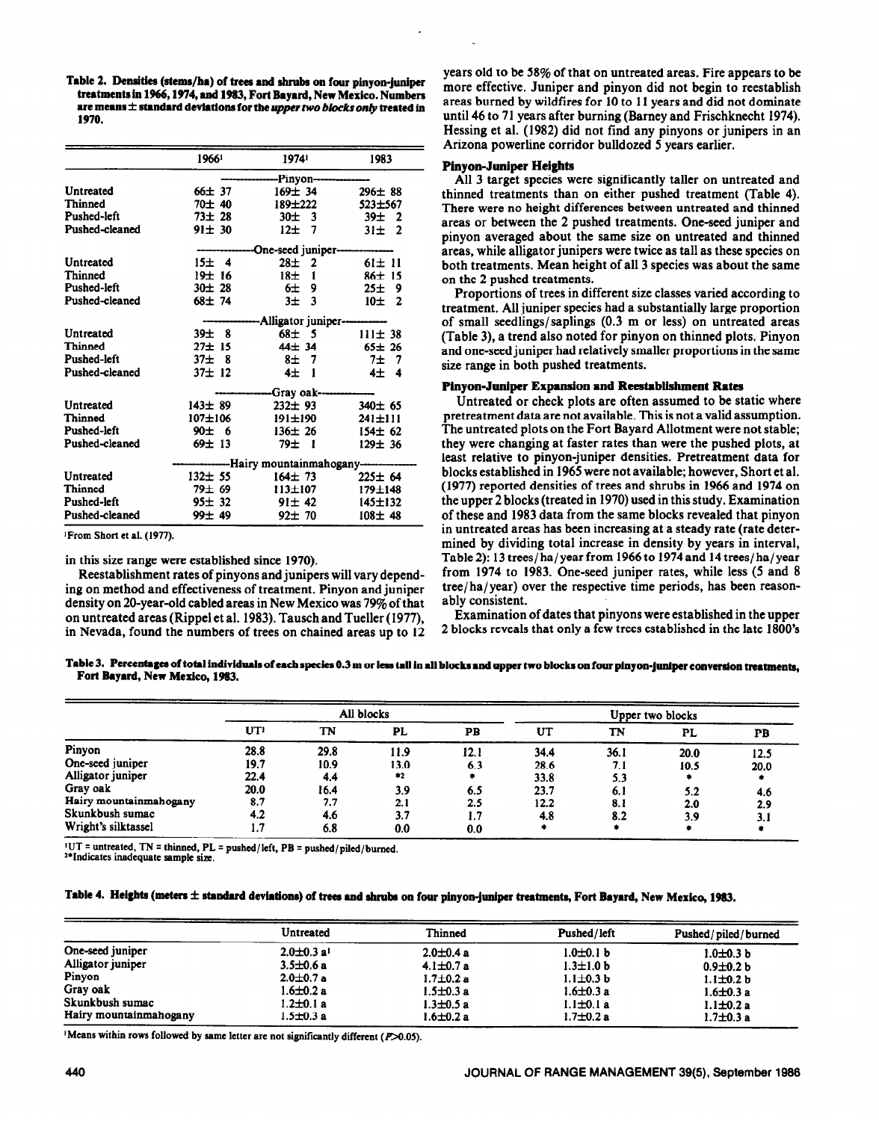Table 2. Densities (stems/ha) of trees and shrubs on four pinyon-juniper treatments in 1966, 1974, and 1983, Fort Bayard, New Mexico. Numbers are means  $\pm$  standard deviations for the *upper two blocks only* treated in 1970.

|                | 19661                    | 19741                             | 1983          |  |  |
|----------------|--------------------------|-----------------------------------|---------------|--|--|
|                |                          | -Pinvon-                          |               |  |  |
| Untreated      | 66±37                    | $169 \pm 34$                      | $296 \pm 88$  |  |  |
| Thinned        | 70 ± 40                  | 189±222                           | 523±567       |  |  |
| Pushed-left    | $73 \pm 28$              | $30 \pm 3$                        | $39\pm$ 2     |  |  |
| Pushed-cleaned | 91±30                    | $12 \pm 7$                        | $31 \pm 2$    |  |  |
|                |                          | One-seed juniper--                |               |  |  |
| Untreated      | 15± 4                    | $28 \pm 2$                        | $61 \pm 11$   |  |  |
| Thinned        | 19±16                    | 18 <sub>±</sub><br>$\blacksquare$ | 86±15         |  |  |
| Pushed-left    | $30 \pm 28$              | 6±9                               | 25±9          |  |  |
| Pushed-cleaned | 68± 74                   | $3±$ 3                            | $10±$ 2       |  |  |
|                |                          | Alligator juniper-                |               |  |  |
| Untreated      | $39 \pm 8$               | $68 \pm 5$                        | $111 \pm 38$  |  |  |
| Thinned        | 27±15                    | $44 \pm 34$                       | $65 \pm 26$   |  |  |
| Pushed-left    | $37\pm$ 8                | $8\pm$ 7                          | 7±<br>-7      |  |  |
| Pushed-cleaned | $37 \pm 12$              | 4±1                               | $4±$ 4        |  |  |
|                |                          | Gray oak-                         |               |  |  |
| Untreated      | $143 \pm 89$             | $232 \pm 93$                      | $340 \pm 65$  |  |  |
| Thinned        | $107 + 106$              | 191±190                           | $241 \pm 111$ |  |  |
| Pushed-left    | 90±6                     | $136 \pm 26$                      | $154 \pm 62$  |  |  |
| Pushed-cleaned | 69± 13                   | 79± 1                             | $129 \pm 36$  |  |  |
|                | -Hairy mountainmahogany- |                                   |               |  |  |
| Untreated      | $132 \pm 55$             | $164 \pm 73$                      | $225 \pm 64$  |  |  |
| Thinned        | 79士 69                   | $113 \pm 107$                     | 179±148       |  |  |
| Pushed-left    | $95 \pm 32$              | $91 \pm 42$                       | 145±132       |  |  |
| Pushed-cleaned | $99 \pm 49$              | $92 \pm 70$                       | $108 + 48$    |  |  |

<sup>1</sup>From Short et al. (1977).

in this size range were established since 1970).

Reestablishment rates of pinyons and junipers will vary depending on method and effectiveness of treatment. Pinyon and juniper density on 20-year-old cabled areas in New Mexico was 79% of that on untreated areas (Rippel et al. 1983). Tausch and Tueller (1977), in Nevada, found the numbers of trees on chained areas up to 12 years old to be 58% of that on untreated areas. Fire appears to be more effective. Juniper and pinyon did not begin to reestablish areas burned by wildfires for 10 to 11 years and did not dominate until 46 to 71 years after burning (Barney and Frischknecht 1974). Hessing et al. (1982) did not find any pinyons or junipers in an Arizona powerline corridor bulldozed 5 years earlier.

## **Pinyon-Juniper Heights**

All 3 target species were significantly taller on untreated and thinned treatments than on either pushed treatment (Table 4). There were no height differences between untreated and thinned areas or between the 2 pushed treatments. One-seed juniper and pinyon averaged about the same size on untreated and thinned areas, while alligator junipers were twice as tall as these species on both treatments. Mean height of all 3 species was about the same on the 2 pushed treatments.

Proportions of trees in different size classes varied according to treatment. All juniper species had a substantially large proportion of small seedlings/saplings  $(0.3 \text{ m} \text{ or } \text{less})$  on untreated areas (Table 3), a trend also noted for pinyon on thinned plots. Pinyon and one-seed juniper had relatively smaller proportions in the same size range in both pushed treatments.

#### Pinyon-Juniper Expansion and Reestablishment Rates

Untreated or check plots are often assumed to be static where pretreatment data are not available. This is not a valid assumption. The untreated plots on the Fort Bayard Allotment were not stable; they were changing at faster rates than were the pushed plots, at least relative to pinyon-juniper densities. Pretreatment data for blocks established in 1965 were not available; however, Short et al. (1977) reported densities of trees and shrubs in 1966 and 1974 on the upper 2 blocks (treated in 1970) used in this study. Examination of these and 1983 data from the same blocks revealed that pinyon in untreated areas has been increasing at a steady rate (rate determined by dividing total increase in density by years in interval, Table 2): 13 trees/ha/year from 1966 to 1974 and 14 trees/ha/year from 1974 to 1983. One-seed juniper rates, while less (5 and 8) tree/ha/year) over the respective time periods, has been reasonably consistent.

Examination of dates that pinyons were established in the upper 2 blocks reveals that only a few trees established in the late 1800's

Table 3. Percentages of total individuals of each species 0.3 m or less tall in all blocks and upper two blocks on four pinyon-juniper conversion treatments. Fort Bayard, New Mexico, 1983.

|                        | All blocks      |      |           | Upper two blocks |      |      |      |      |
|------------------------|-----------------|------|-----------|------------------|------|------|------|------|
|                        | UT <sup>1</sup> | TN   | <b>PL</b> | PB               | UT   | TN   | PL   | РB   |
| Pinyon                 | 28.8            | 29.8 | 11.9      | 12.1             | 34.4 | 36.1 | 20.0 | 12.5 |
| One-seed juniper       | 19.7            | 10.9 | 13.0      | 6.3              | 28.6 | 7.1  | 10.5 | 20.0 |
| Alligator juniper      | 22.4            | 4.4  | $*2$      |                  | 33.8 | 5.3  |      |      |
| Gray oak               | 20.0            | 16.4 | 3.9       | 6.5              | 23.7 | 6.1  | 5.2  | 4.6  |
| Hairy mountainmahogany | 8.7             | 7.7  | 2.1       | 2.5              | 12.2 | 8.1  | 2.0  | 2.9  |
| Skunkbush sumac        | 4.2             | 4.6  | 3.7       | 1.7              | 4.8  | 8.2  | 3.9  | 3.1  |
| Wright's silktassel    |                 | 6.8  | 0.0       | 0.0              |      |      |      |      |

<sup>1</sup>UT = untreated, TN = thinned, PL = pushed/left, PB = pushed/piled/burned.

<sup>24</sup>Indicates inadequate sample size.

# Table 4. Heights (meters ± standard deviations) of trees and shrubs on four pinyon-juniper treatments, Fort Bayard, New Mexico, 1983.

|                        | Untreated                    | Thinned         | Pushed/left     | Pushed/piled/burned |  |
|------------------------|------------------------------|-----------------|-----------------|---------------------|--|
| One-seed juniper       | $2.0 \pm 0.3$ a <sup>1</sup> | $2.0 \pm 0.4$ a | $1.0 \pm 0.1 b$ | $1.0 \pm 0.3$ b     |  |
| Alligator juniper      | $3.5 \pm 0.6$ a              | $4.1 \pm 0.7 a$ | $1.3 \pm 1.0 b$ | $0.9 \pm 0.2 b$     |  |
| Pinyon                 | $2.0 \pm 0.7$ a              | $1.7 \pm 0.2$ a | $1.1 \pm 0.3 b$ | $1.1 \pm 0.2 b$     |  |
| Gray oak               | $1.6 \pm 0.2$ a              | $1.5 \pm 0.3$ a | $1.6 \pm 0.3$ a | $1.6 \pm 0.3$ a     |  |
| Skunkbush sumac        | $1.2 \pm 0.1$ a              | $1.3 \pm 0.5$ a | $1.1 \pm 0.1 a$ | $1.1 \pm 0.2 a$     |  |
| Hairy mountainmahogany | 1.5±0.3 a                    | $1.6 \pm 0.2$ a | $1.7 \pm 0.2$ a | $1.7 \pm 0.3$ a     |  |

'Means within rows followed by same letter are not significantly different (P>0.05).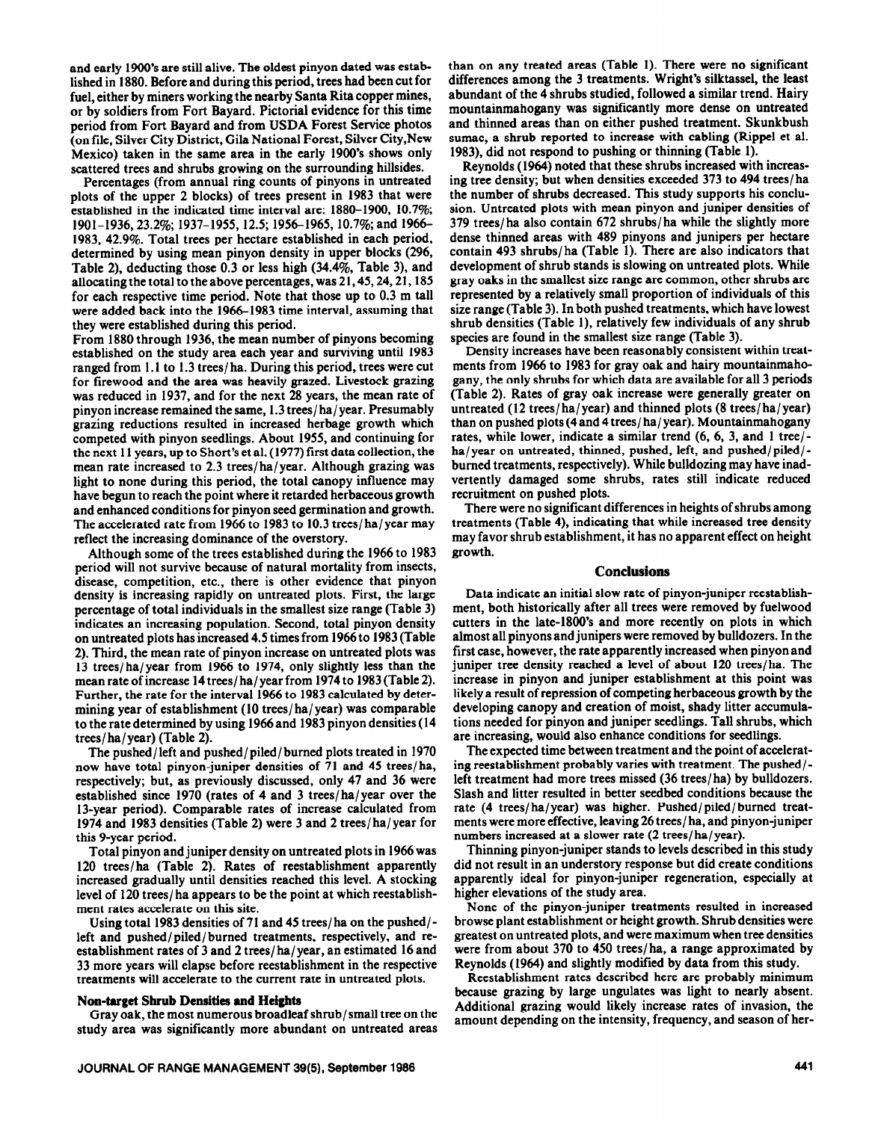and early 1900's are still alive. The oldest pinyon dated was established in 1880. Before and during this period, trees had been cut for fuel, either by miners working the nearby Santa Rita copper mines, or by soldiers from Fort Bayard. Pictorial evidence for this time period from Fort Bayard and from USDA Forest Service photos (on file, Silver City District, Gila National Forest, Silver City,New Mexico) taken in the same area in the early 1900's shows only scattered trees and shrubs growing on the surrounding hillsides.

Percentages (from annual ring counts of pinyons in untreated plots of the upper 2 blocks) of trees present in 1983 that were established in the indicated time interval are: 1880-1900, 10.7%; 1901-1936, 23.2%; 1937-1955, 12.5; 1956-1965, 10.7%; and 1966-1983, 42.9%. Total trees per hectare established in each period, determined by using mean pinyon density in upper blocks (296, Table 2), deducting those 0.3 or less high (34.4%, Table 3), and allocating the total to the above percentages, was 21,45,24,21,185 for each respective time period. Note that those up to 0.3 m tall were added back into the 1966-1983 time interval, assuming that they were established during this period.

From 1880 through 1936, the mean number of pinyons becoming established on the study area each year and surviving until 1983 ranged from 1.1 to 1.3 trees/ha. During this period, trees were cut for firewood and the area was heavily grazed. Livestock grazing was reduced in 1937, and for the next 28 years, the mean rate of pinyon increase remained the same, 1.3 trees/ha/year. Presumably grazing reductions resulted in increased herbage growth which competed with pinyon seedlings. About 1955, and continuing for the next 11 years, up to Short's et al. (1977) first data collection, the mean rate increased to 2.3 trees/ha/year. Although grazing was light to none during this period, the total canopy influence may have begun to reach the point where it retarded herbaceous growth and enhanced conditions for pinyon seed germination and growth. The accelerated rate from 1966 to 1983 to 10.3 trees/ ha/year may reflect the increasing dominance of the overstory.

Although some of the trees established during the 1966 to 1983 period will not survive because of natural mortality from insects, disease, competition, etc., there is other evidence that pinyon density is increasing rapidly on untreated plots. First, the large percentage of total individuals in the smallest size range (Table 3) indicates an increasing population. Second, total pinyon density on untreated plots has increased 4.5 times from 1966 to 1983 (Table 2). Third, the mean rate of pinyon increase on untreated plots was 13 trees/ha/year from 1966 to 1974, only slightly less than the mean rate of increase 14 trees/ ha/ year from 1974 to 1983 (Table 2). Further, the rate for the interval 1966 to 1983 calculated by determining year of establishment (10 trees/ ha/year) was comparable to the rate determined by using 1966 and 1983 pinyon densities (14 trees/ ha/ year) (Table 2).

The pushed/left and pushed/piled/ burned plots treated in 1970 now have total pinyon-juniper densities of 71 and 45 trees/ ha, respectively; but, as previously discussed, only 47 and 36 were established since 1970 (rates of 4 and 3 trees/ ha/year over the 13-year period). Comparable rates of increase calculated from 1974 and 1983 densities (Table 2) were 3 and 2 trees/ha/year for this 9-year period.

Total pinyon and juniper density on untreated plots in 1966 was 120 trees/ha (Table 2). Rates of reestablishment apparently increased gradually until densities reached this level. A stocking level of 120 trees/ha appears to be the point at which reestablishment rates accelerate on this site.

Using total 1983 densities of 71 and 45 trees/ha on the pushed/ left and pushed/piled/ burned treatments, respectively, and reestablishment rates of 3 and 2 trees/ ha/year, an estimated 16 and 33 more years will elapse before reestablishment in the respective treatments will accelerate to the current rate in untreated plots.

## **Non-target Shrub Densities and Heights**

Gray oak, the most numerous broadleaf shrub/small tree on the study area was significantly more abundant on untreated areas than on any treated areas (Table 1). There were no significant differences among the 3 treatments. Wright's silktassel, the least abundant of the 4 shrubs studied, followed a similar trend. Hairy mountainmahogany was significantly more dense on untreated and thinned areas than on either pushed treatment. Skunkbush sumac, a shrub reported to increase with cabling (Rippel et al. 1983), did not respond to pushing or thinning (Table 1).

Reynolds (1964) noted that these shrubs increased with increasing tree density; but when densities exceeded 373 to 494 trees/ ha the number of shrubs decreased. This study supports his conclusion. Untreated plots with mean pinyon and juniper densities of 379 trees/ ha also contain 672 shrubs/ ha while the slightly more dense thinned areas with 489 pinyons and junipers per hectare contain 493 shrubs/ha (Table 1). There are also indicators that development of shrub stands is slowing on untreated plots. While gray oaks in the smallest size range are common, other shrubs are represented by a relatively small proportion of individuals of this size range (Table 3). In both pushed treatments, which have lowest shrub densities (Table l), relatively few individuals of any shrub species are found in the smallest size range (Table 3).

Density increases have been reasonably consistent within treatments from 1966 to 1983 for gray oak and hairy mountainmahogany, the only shrubs for which data are available for all 3 periods (Table 2). Rates of gray oak increase were generally greater on untreated (12 trees/ ha/year) and thinned plots (8 trees/ ha/ year) than on pushed plots (4 and 4 trees/ ha/ year). Mountainmahogany rates, while lower, indicate a similar trend (6, 6, 3, and 1 tree/ ha/year on untreated, thinned, pushed, left, and pushed/piled/burned treatments, respectively). While bulldozing may have inadvertently damaged some shrubs, rates still indicate reduced recruitment on pushed plots.

There were no significant differences in heights of shrubs among treatments (Table 4), indicating that while increased tree density may favor shrub establishment, it has no apparent effect on height growth.

# **Conclusions**

Data indicate an initial slow rate of pinyon-juniper reestablishment, both historically after all trees were removed by fuelwood cutters in the late-1800's and more recently on plots in which almost all pinyons and junipers were removed by bulldozers. In the first case, however, the rate apparently increased when pinyon and juniper tree density reached a level of about 120 trees/ha. The increase in pinyon and juniper establishment at this point was likely a result of repression of competing herbaceous growth by the developing canopy and creation of moist, shady litter accumulations needed for pinyon and juniper seedlings. Tall shrubs, which are increasing, would also enhance conditions for seedlings.

The expected time between treatment and the point of accelerating reestablishment probably varies with treatment. The pushed/ left treatment had more trees missed (36 trees/ha) by bulldozers. Slash and litter resulted in better seedbed conditions because the rate (4 trees/ha/year) was higher. Pushed/piled/burned treatments were more effective, leaving 26 trees/ha, and pinyon-juniper numbers increased at a slower rate (2 trees/ha/year).

Thinning pinyon-juniper stands to levels described in this study did not result in an understory response but did create conditions apparently ideal for pinyon-juniper regeneration, especially at higher elevations of the study area.

None of the pinyon-juniper treatments resulted in increased browse plant establishment or height growth. Shrub densities were greatest on untreated plots, and were maximum when tree densities were from about 370 to 450 trees/ ha, a range approximated by Reynolds (1964) and slightly modified by data from this study.

Reestablishment rates described here are probably minimum because grazing by large ungulates was light to nearly absent. Additional grazing would likely increase rates of invasion, the amount depending on the intensity, frequency, and season of her-